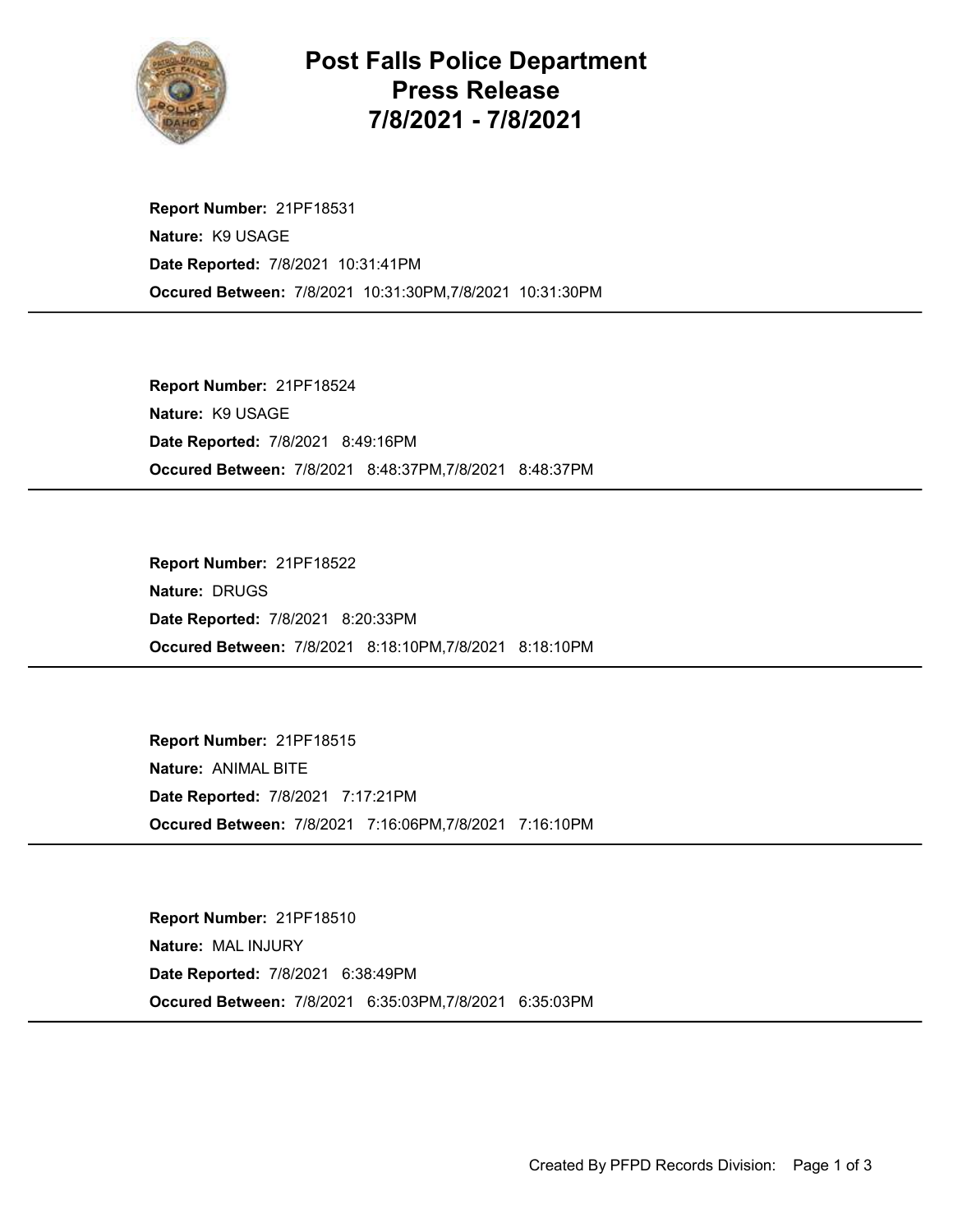

Post Falls Police Department Press Release 7/8/2021 - 7/8/2021

Occured Between: 7/8/2021 10:31:30PM,7/8/2021 10:31:30PM Report Number: 21PF18531 Nature: K9 USAGE Date Reported: 7/8/2021 10:31:41PM

Occured Between: 7/8/2021 8:48:37PM,7/8/2021 8:48:37PM Report Number: 21PF18524 Nature: K9 USAGE Date Reported: 7/8/2021 8:49:16PM

Occured Between: 7/8/2021 8:18:10PM,7/8/2021 8:18:10PM Report Number: 21PF18522 Nature: DRUGS Date Reported: 7/8/2021 8:20:33PM

Occured Between: 7/8/2021 7:16:06PM,7/8/2021 7:16:10PM Report Number: 21PF18515 Nature: ANIMAL BITE Date Reported: 7/8/2021 7:17:21PM

Occured Between: 7/8/2021 6:35:03PM,7/8/2021 6:35:03PM Report Number: 21PF18510 Nature: MAL INJURY Date Reported: 7/8/2021 6:38:49PM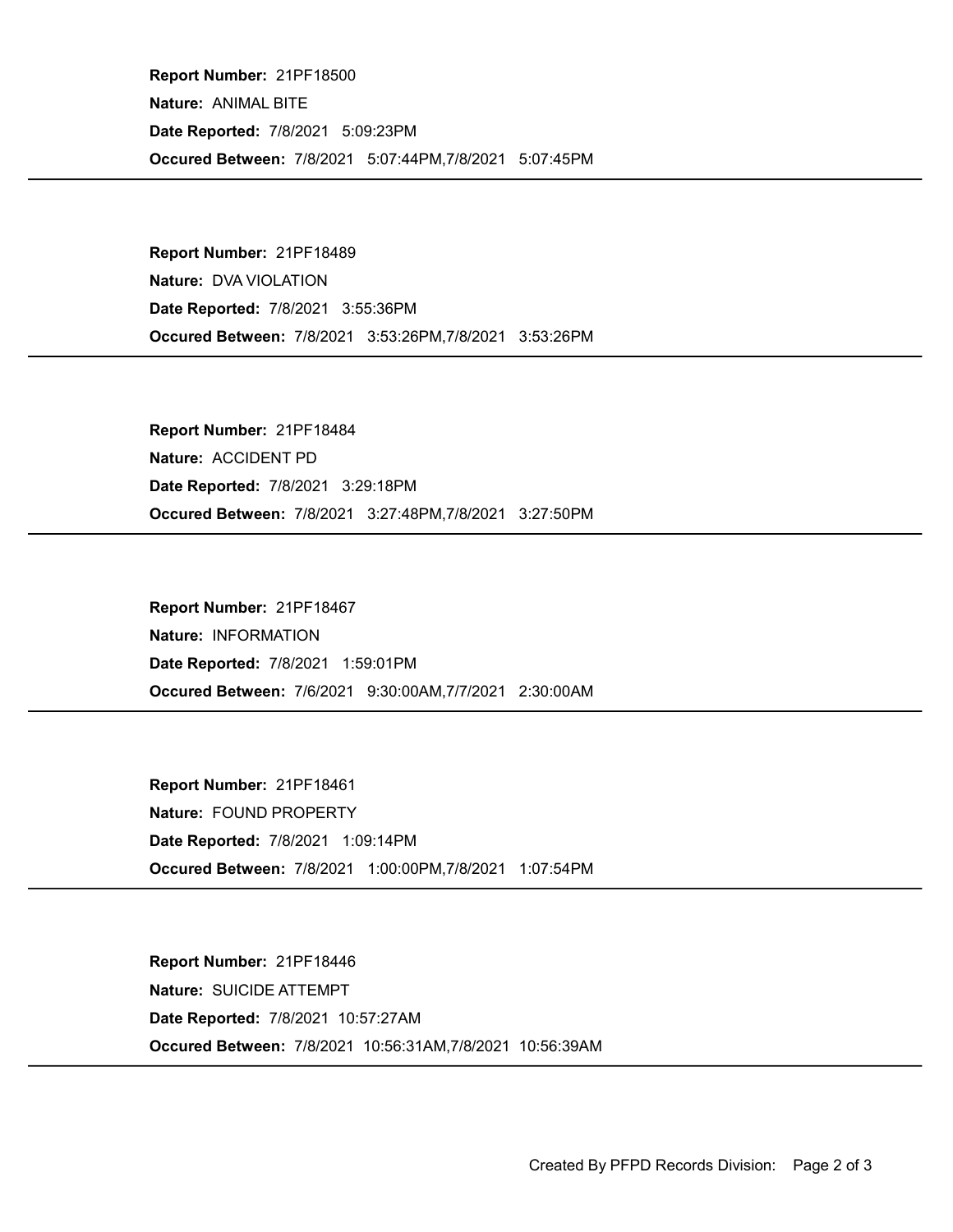Occured Between: 7/8/2021 5:07:44PM,7/8/2021 5:07:45PM Report Number: 21PF18500 Nature: ANIMAL BITE Date Reported: 7/8/2021 5:09:23PM

Occured Between: 7/8/2021 3:53:26PM,7/8/2021 3:53:26PM Report Number: 21PF18489 Nature: DVA VIOLATION Date Reported: 7/8/2021 3:55:36PM

Occured Between: 7/8/2021 3:27:48PM,7/8/2021 3:27:50PM Report Number: 21PF18484 Nature: ACCIDENT PD Date Reported: 7/8/2021 3:29:18PM

Occured Between: 7/6/2021 9:30:00AM,7/7/2021 2:30:00AM Report Number: 21PF18467 Nature: INFORMATION Date Reported: 7/8/2021 1:59:01PM

Occured Between: 7/8/2021 1:00:00PM,7/8/2021 1:07:54PM Report Number: 21PF18461 Nature: FOUND PROPERTY Date Reported: 7/8/2021 1:09:14PM

Occured Between: 7/8/2021 10:56:31AM,7/8/2021 10:56:39AM Report Number: 21PF18446 Nature: SUICIDE ATTEMPT Date Reported: 7/8/2021 10:57:27AM